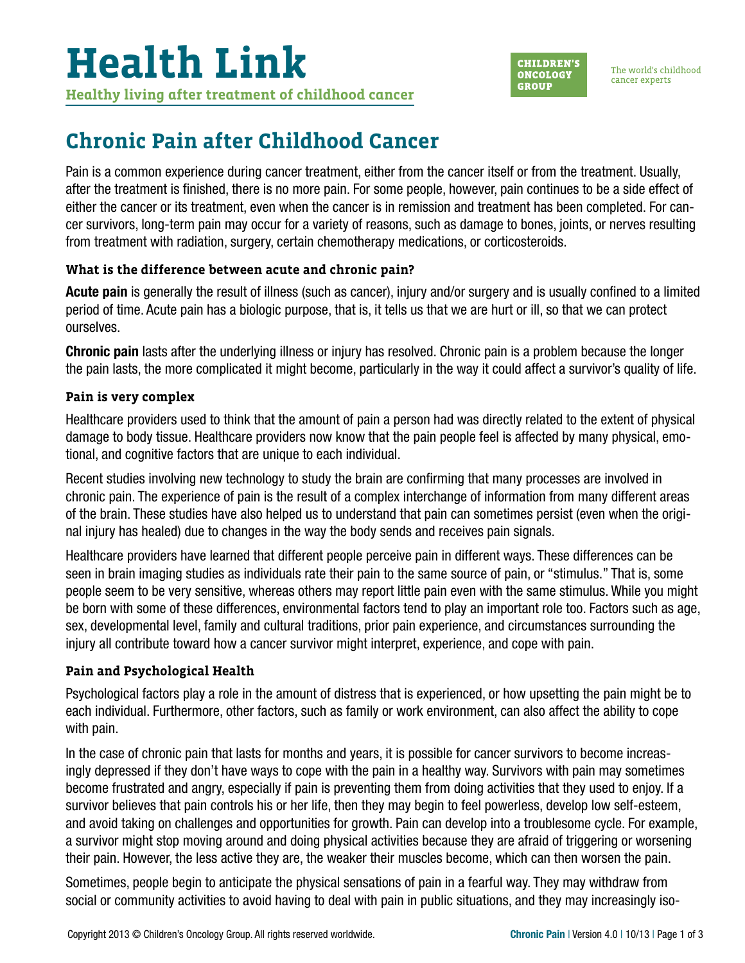

## **Chronic Pain after Childhood Cancer**

Pain is a common experience during cancer treatment, either from the cancer itself or from the treatment. Usually, after the treatment is finished, there is no more pain. For some people, however, pain continues to be a side effect of either the cancer or its treatment, even when the cancer is in remission and treatment has been completed. For cancer survivors, long-term pain may occur for a variety of reasons, such as damage to bones, joints, or nerves resulting from treatment with radiation, surgery, certain chemotherapy medications, or corticosteroids.

### **What is the difference between acute and chronic pain?**

Acute pain is generally the result of illness (such as cancer), injury and/or surgery and is usually confined to a limited period of time. Acute pain has a biologic purpose, that is, it tells us that we are hurt or ill, so that we can protect ourselves.

Chronic pain lasts after the underlying illness or injury has resolved. Chronic pain is a problem because the longer the pain lasts, the more complicated it might become, particularly in the way it could affect a survivor's quality of life.

#### **Pain is very complex**

Healthcare providers used to think that the amount of pain a person had was directly related to the extent of physical damage to body tissue. Healthcare providers now know that the pain people feel is affected by many physical, emotional, and cognitive factors that are unique to each individual.

Recent studies involving new technology to study the brain are confirming that many processes are involved in chronic pain. The experience of pain is the result of a complex interchange of information from many different areas of the brain. These studies have also helped us to understand that pain can sometimes persist (even when the original injury has healed) due to changes in the way the body sends and receives pain signals.

Healthcare providers have learned that different people perceive pain in different ways. These differences can be seen in brain imaging studies as individuals rate their pain to the same source of pain, or "stimulus." That is, some people seem to be very sensitive, whereas others may report little pain even with the same stimulus. While you might be born with some of these differences, environmental factors tend to play an important role too. Factors such as age, sex, developmental level, family and cultural traditions, prior pain experience, and circumstances surrounding the injury all contribute toward how a cancer survivor might interpret, experience, and cope with pain.

#### **Pain and Psychological Health**

Psychological factors play a role in the amount of distress that is experienced, or how upsetting the pain might be to each individual. Furthermore, other factors, such as family or work environment, can also affect the ability to cope with pain.

In the case of chronic pain that lasts for months and years, it is possible for cancer survivors to become increasingly depressed if they don't have ways to cope with the pain in a healthy way. Survivors with pain may sometimes become frustrated and angry, especially if pain is preventing them from doing activities that they used to enjoy. If a survivor believes that pain controls his or her life, then they may begin to feel powerless, develop low self-esteem, and avoid taking on challenges and opportunities for growth. Pain can develop into a troublesome cycle. For example, a survivor might stop moving around and doing physical activities because they are afraid of triggering or worsening their pain. However, the less active they are, the weaker their muscles become, which can then worsen the pain.

Sometimes, people begin to anticipate the physical sensations of pain in a fearful way. They may withdraw from social or community activities to avoid having to deal with pain in public situations, and they may increasingly iso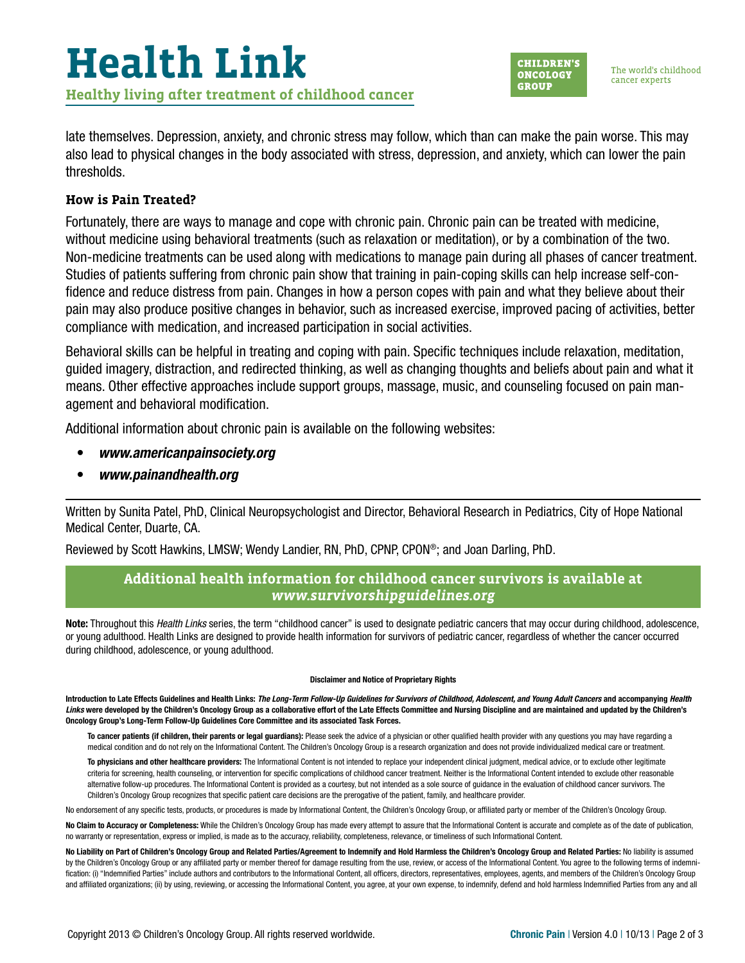late themselves. Depression, anxiety, and chronic stress may follow, which than can make the pain worse. This may also lead to physical changes in the body associated with stress, depression, and anxiety, which can lower the pain thresholds.

#### **How is Pain Treated?**

Fortunately, there are ways to manage and cope with chronic pain. Chronic pain can be treated with medicine, without medicine using behavioral treatments (such as relaxation or meditation), or by a combination of the two. Non-medicine treatments can be used along with medications to manage pain during all phases of cancer treatment. Studies of patients suffering from chronic pain show that training in pain-coping skills can help increase self-confidence and reduce distress from pain. Changes in how a person copes with pain and what they believe about their pain may also produce positive changes in behavior, such as increased exercise, improved pacing of activities, better compliance with medication, and increased participation in social activities.

Behavioral skills can be helpful in treating and coping with pain. Specific techniques include relaxation, meditation, guided imagery, distraction, and redirected thinking, as well as changing thoughts and beliefs about pain and what it means. Other effective approaches include support groups, massage, music, and counseling focused on pain management and behavioral modification.

Additional information about chronic pain is available on the following websites:

- *[www.americanpainsociety.org](http://www.americanpainsociety.org)*
- *[www.painandhealth.org](http://www.painandhealth.org)*

Written by Sunita Patel, PhD, Clinical Neuropsychologist and Director, Behavioral Research in Pediatrics, City of Hope National Medical Center, Duarte, CA.

Reviewed by Scott Hawkins, LMSW; Wendy Landier, RN, PhD, CPNP, CPON®; and Joan Darling, PhD.

#### **Additional health information for childhood cancer survivors is available at**  *[www.survivorshipguidelines.org](http://www.survivorshipguidelines.org)*

Note: Throughout this *Health Links* series, the term "childhood cancer" is used to designate pediatric cancers that may occur during childhood, adolescence, or young adulthood. Health Links are designed to provide health information for survivors of pediatric cancer, regardless of whether the cancer occurred during childhood, adolescence, or young adulthood.

#### Disclaimer and Notice of Proprietary Rights

Introduction to Late Effects Guidelines and Health Links: *The Long-Term Follow-Up Guidelines for Survivors of Childhood, Adolescent, and Young Adult Cancers* and accompanying *Health*  Links were developed by the Children's Oncology Group as a collaborative effort of the Late Effects Committee and Nursing Discipline and are maintained and updated by the Children's Oncology Group's Long-Term Follow-Up Guidelines Core Committee and its associated Task Forces.

To cancer patients (if children, their parents or legal guardians): Please seek the advice of a physician or other qualified health provider with any questions you may have regarding a medical condition and do not rely on the Informational Content. The Children's Oncology Group is a research organization and does not provide individualized medical care or treatment.

To physicians and other healthcare providers: The Informational Content is not intended to replace your independent clinical judgment, medical advice, or to exclude other legitimate criteria for screening, health counseling, or intervention for specific complications of childhood cancer treatment. Neither is the Informational Content intended to exclude other reasonable alternative follow-up procedures. The Informational Content is provided as a courtesy, but not intended as a sole source of guidance in the evaluation of childhood cancer survivors. The Children's Oncology Group recognizes that specific patient care decisions are the prerogative of the patient, family, and healthcare provider.

No endorsement of any specific tests, products, or procedures is made by Informational Content, the Children's Oncology Group, or affiliated party or member of the Children's Oncology Group.

No Claim to Accuracy or Completeness: While the Children's Oncology Group has made every attempt to assure that the Informational Content is accurate and complete as of the date of publication, no warranty or representation, express or implied, is made as to the accuracy, reliability, completeness, relevance, or timeliness of such Informational Content.

No Liability on Part of Children's Oncology Group and Related Parties/Agreement to Indemnify and Hold Harmless the Children's Oncology Group and Related Parties: No liability is assumed by the Children's Oncology Group or any affiliated party or member thereof for damage resulting from the use, review, or access of the Informational Content. You agree to the following terms of indemnification: (i) "Indemnified Parties" include authors and contributors to the Informational Content, all officers, directors, representatives, employees, agents, and members of the Children's Oncology Group and affiliated organizations; (ii) by using, reviewing, or accessing the Informational Content, you agree, at your own expense, to indemnify, defend and hold harmless Indemnified Parties from any and all